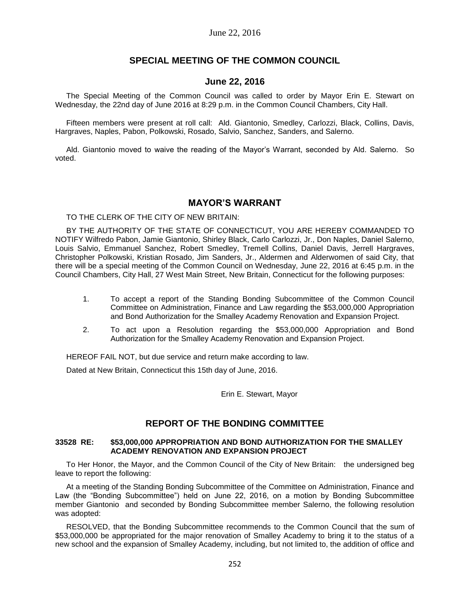## **SPECIAL MEETING OF THE COMMON COUNCIL**

## **June 22, 2016**

The Special Meeting of the Common Council was called to order by Mayor Erin E. Stewart on Wednesday, the 22nd day of June 2016 at 8:29 p.m. in the Common Council Chambers, City Hall.

Fifteen members were present at roll call: Ald. Giantonio, Smedley, Carlozzi, Black, Collins, Davis, Hargraves, Naples, Pabon, Polkowski, Rosado, Salvio, Sanchez, Sanders, and Salerno.

Ald. Giantonio moved to waive the reading of the Mayor's Warrant, seconded by Ald. Salerno. So voted.

## **MAYOR'S WARRANT**

TO THE CLERK OF THE CITY OF NEW BRITAIN:

BY THE AUTHORITY OF THE STATE OF CONNECTICUT, YOU ARE HEREBY COMMANDED TO NOTIFY Wilfredo Pabon, Jamie Giantonio, Shirley Black, Carlo Carlozzi, Jr., Don Naples, Daniel Salerno, Louis Salvio, Emmanuel Sanchez, Robert Smedley, Tremell Collins, Daniel Davis, Jerrell Hargraves, Christopher Polkowski, Kristian Rosado, Jim Sanders, Jr., Aldermen and Alderwomen of said City, that there will be a special meeting of the Common Council on Wednesday, June 22, 2016 at 6:45 p.m. in the Council Chambers, City Hall, 27 West Main Street, New Britain, Connecticut for the following purposes:

- 1. To accept a report of the Standing Bonding Subcommittee of the Common Council Committee on Administration, Finance and Law regarding the \$53,000,000 Appropriation and Bond Authorization for the Smalley Academy Renovation and Expansion Project.
- 2. To act upon a Resolution regarding the \$53,000,000 Appropriation and Bond Authorization for the Smalley Academy Renovation and Expansion Project.

HEREOF FAIL NOT, but due service and return make according to law.

Dated at New Britain, Connecticut this 15th day of June, 2016.

Erin E. Stewart, Mayor

# **REPORT OF THE BONDING COMMITTEE**

#### **33528 RE: \$53,000,000 APPROPRIATION AND BOND AUTHORIZATION FOR THE SMALLEY ACADEMY RENOVATION AND EXPANSION PROJECT**

To Her Honor, the Mayor, and the Common Council of the City of New Britain: the undersigned beg leave to report the following:

At a meeting of the Standing Bonding Subcommittee of the Committee on Administration, Finance and Law (the "Bonding Subcommittee") held on June 22, 2016, on a motion by Bonding Subcommittee member Giantonio and seconded by Bonding Subcommittee member Salerno, the following resolution was adopted:

RESOLVED, that the Bonding Subcommittee recommends to the Common Council that the sum of \$53,000,000 be appropriated for the major renovation of Smalley Academy to bring it to the status of a new school and the expansion of Smalley Academy, including, but not limited to, the addition of office and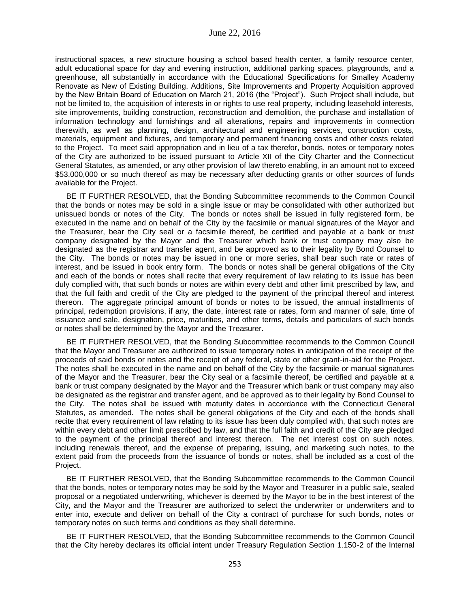instructional spaces, a new structure housing a school based health center, a family resource center, adult educational space for day and evening instruction, additional parking spaces, playgrounds, and a greenhouse, all substantially in accordance with the Educational Specifications for Smalley Academy Renovate as New of Existing Building, Additions, Site Improvements and Property Acquisition approved by the New Britain Board of Education on March 21, 2016 (the "Project"). Such Project shall include, but not be limited to, the acquisition of interests in or rights to use real property, including leasehold interests, site improvements, building construction, reconstruction and demolition, the purchase and installation of information technology and furnishings and all alterations, repairs and improvements in connection therewith, as well as planning, design, architectural and engineering services, construction costs, materials, equipment and fixtures, and temporary and permanent financing costs and other costs related to the Project. To meet said appropriation and in lieu of a tax therefor, bonds, notes or temporary notes of the City are authorized to be issued pursuant to Article XII of the City Charter and the Connecticut General Statutes, as amended, or any other provision of law thereto enabling, in an amount not to exceed \$53,000,000 or so much thereof as may be necessary after deducting grants or other sources of funds available for the Project.

BE IT FURTHER RESOLVED, that the Bonding Subcommittee recommends to the Common Council that the bonds or notes may be sold in a single issue or may be consolidated with other authorized but unissued bonds or notes of the City. The bonds or notes shall be issued in fully registered form, be executed in the name and on behalf of the City by the facsimile or manual signatures of the Mayor and the Treasurer, bear the City seal or a facsimile thereof, be certified and payable at a bank or trust company designated by the Mayor and the Treasurer which bank or trust company may also be designated as the registrar and transfer agent, and be approved as to their legality by Bond Counsel to the City. The bonds or notes may be issued in one or more series, shall bear such rate or rates of interest, and be issued in book entry form. The bonds or notes shall be general obligations of the City and each of the bonds or notes shall recite that every requirement of law relating to its issue has been duly complied with, that such bonds or notes are within every debt and other limit prescribed by law, and that the full faith and credit of the City are pledged to the payment of the principal thereof and interest thereon. The aggregate principal amount of bonds or notes to be issued, the annual installments of principal, redemption provisions, if any, the date, interest rate or rates, form and manner of sale, time of issuance and sale, designation, price, maturities, and other terms, details and particulars of such bonds or notes shall be determined by the Mayor and the Treasurer.

BE IT FURTHER RESOLVED, that the Bonding Subcommittee recommends to the Common Council that the Mayor and Treasurer are authorized to issue temporary notes in anticipation of the receipt of the proceeds of said bonds or notes and the receipt of any federal, state or other grant-in-aid for the Project. The notes shall be executed in the name and on behalf of the City by the facsimile or manual signatures of the Mayor and the Treasurer, bear the City seal or a facsimile thereof, be certified and payable at a bank or trust company designated by the Mayor and the Treasurer which bank or trust company may also be designated as the registrar and transfer agent, and be approved as to their legality by Bond Counsel to the City. The notes shall be issued with maturity dates in accordance with the Connecticut General Statutes, as amended. The notes shall be general obligations of the City and each of the bonds shall recite that every requirement of law relating to its issue has been duly complied with, that such notes are within every debt and other limit prescribed by law, and that the full faith and credit of the City are pledged to the payment of the principal thereof and interest thereon. The net interest cost on such notes, including renewals thereof, and the expense of preparing, issuing, and marketing such notes, to the extent paid from the proceeds from the issuance of bonds or notes, shall be included as a cost of the Project.

BE IT FURTHER RESOLVED, that the Bonding Subcommittee recommends to the Common Council that the bonds, notes or temporary notes may be sold by the Mayor and Treasurer in a public sale, sealed proposal or a negotiated underwriting, whichever is deemed by the Mayor to be in the best interest of the City, and the Mayor and the Treasurer are authorized to select the underwriter or underwriters and to enter into, execute and deliver on behalf of the City a contract of purchase for such bonds, notes or temporary notes on such terms and conditions as they shall determine.

BE IT FURTHER RESOLVED, that the Bonding Subcommittee recommends to the Common Council that the City hereby declares its official intent under Treasury Regulation Section 1.150-2 of the Internal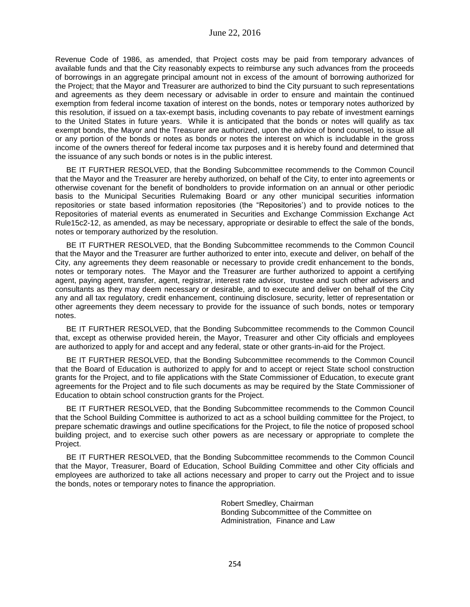Revenue Code of 1986, as amended, that Project costs may be paid from temporary advances of available funds and that the City reasonably expects to reimburse any such advances from the proceeds of borrowings in an aggregate principal amount not in excess of the amount of borrowing authorized for the Project; that the Mayor and Treasurer are authorized to bind the City pursuant to such representations and agreements as they deem necessary or advisable in order to ensure and maintain the continued exemption from federal income taxation of interest on the bonds, notes or temporary notes authorized by this resolution, if issued on a tax-exempt basis, including covenants to pay rebate of investment earnings to the United States in future years. While it is anticipated that the bonds or notes will qualify as tax exempt bonds, the Mayor and the Treasurer are authorized, upon the advice of bond counsel, to issue all or any portion of the bonds or notes as bonds or notes the interest on which is includable in the gross income of the owners thereof for federal income tax purposes and it is hereby found and determined that the issuance of any such bonds or notes is in the public interest.

BE IT FURTHER RESOLVED, that the Bonding Subcommittee recommends to the Common Council that the Mayor and the Treasurer are hereby authorized, on behalf of the City, to enter into agreements or otherwise covenant for the benefit of bondholders to provide information on an annual or other periodic basis to the Municipal Securities Rulemaking Board or any other municipal securities information repositories or state based information repositories (the "Repositories') and to provide notices to the Repositories of material events as enumerated in Securities and Exchange Commission Exchange Act Rule15c2-12, as amended, as may be necessary, appropriate or desirable to effect the sale of the bonds, notes or temporary authorized by the resolution.

BE IT FURTHER RESOLVED, that the Bonding Subcommittee recommends to the Common Council that the Mayor and the Treasurer are further authorized to enter into, execute and deliver, on behalf of the City, any agreements they deem reasonable or necessary to provide credit enhancement to the bonds, notes or temporary notes. The Mayor and the Treasurer are further authorized to appoint a certifying agent, paying agent, transfer, agent, registrar, interest rate advisor, trustee and such other advisers and consultants as they may deem necessary or desirable, and to execute and deliver on behalf of the City any and all tax regulatory, credit enhancement, continuing disclosure, security, letter of representation or other agreements they deem necessary to provide for the issuance of such bonds, notes or temporary notes.

BE IT FURTHER RESOLVED, that the Bonding Subcommittee recommends to the Common Council that, except as otherwise provided herein, the Mayor, Treasurer and other City officials and employees are authorized to apply for and accept and any federal, state or other grants-in-aid for the Project.

BE IT FURTHER RESOLVED, that the Bonding Subcommittee recommends to the Common Council that the Board of Education is authorized to apply for and to accept or reject State school construction grants for the Project, and to file applications with the State Commissioner of Education, to execute grant agreements for the Project and to file such documents as may be required by the State Commissioner of Education to obtain school construction grants for the Project.

BE IT FURTHER RESOLVED, that the Bonding Subcommittee recommends to the Common Council that the School Building Committee is authorized to act as a school building committee for the Project, to prepare schematic drawings and outline specifications for the Project, to file the notice of proposed school building project, and to exercise such other powers as are necessary or appropriate to complete the Project.

BE IT FURTHER RESOLVED, that the Bonding Subcommittee recommends to the Common Council that the Mayor, Treasurer, Board of Education, School Building Committee and other City officials and employees are authorized to take all actions necessary and proper to carry out the Project and to issue the bonds, notes or temporary notes to finance the appropriation.

> Robert Smedley, Chairman Bonding Subcommittee of the Committee on Administration, Finance and Law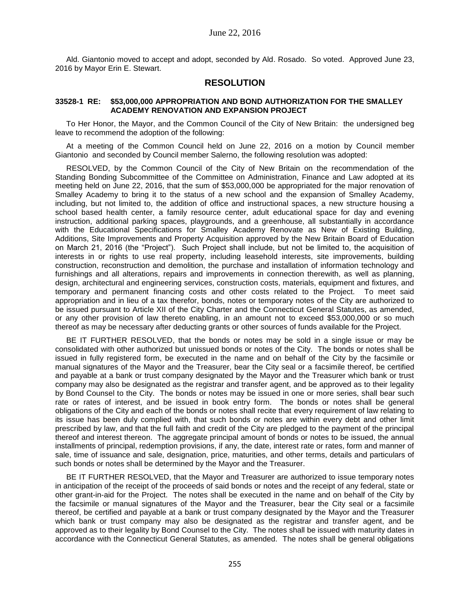Ald. Giantonio moved to accept and adopt, seconded by Ald. Rosado. So voted. Approved June 23, 2016 by Mayor Erin E. Stewart.

## **RESOLUTION**

#### **33528-1 RE: \$53,000,000 APPROPRIATION AND BOND AUTHORIZATION FOR THE SMALLEY ACADEMY RENOVATION AND EXPANSION PROJECT**

To Her Honor, the Mayor, and the Common Council of the City of New Britain: the undersigned beg leave to recommend the adoption of the following:

At a meeting of the Common Council held on June 22, 2016 on a motion by Council member Giantonio and seconded by Council member Salerno, the following resolution was adopted:

RESOLVED, by the Common Council of the City of New Britain on the recommendation of the Standing Bonding Subcommittee of the Committee on Administration, Finance and Law adopted at its meeting held on June 22, 2016, that the sum of \$53,000,000 be appropriated for the major renovation of Smalley Academy to bring it to the status of a new school and the expansion of Smalley Academy, including, but not limited to, the addition of office and instructional spaces, a new structure housing a school based health center, a family resource center, adult educational space for day and evening instruction, additional parking spaces, playgrounds, and a greenhouse, all substantially in accordance with the Educational Specifications for Smalley Academy Renovate as New of Existing Building, Additions, Site Improvements and Property Acquisition approved by the New Britain Board of Education on March 21, 2016 (the "Project"). Such Project shall include, but not be limited to, the acquisition of interests in or rights to use real property, including leasehold interests, site improvements, building construction, reconstruction and demolition, the purchase and installation of information technology and furnishings and all alterations, repairs and improvements in connection therewith, as well as planning, design, architectural and engineering services, construction costs, materials, equipment and fixtures, and temporary and permanent financing costs and other costs related to the Project. To meet said appropriation and in lieu of a tax therefor, bonds, notes or temporary notes of the City are authorized to be issued pursuant to Article XII of the City Charter and the Connecticut General Statutes, as amended, or any other provision of law thereto enabling, in an amount not to exceed \$53,000,000 or so much thereof as may be necessary after deducting grants or other sources of funds available for the Project.

BE IT FURTHER RESOLVED, that the bonds or notes may be sold in a single issue or may be consolidated with other authorized but unissued bonds or notes of the City. The bonds or notes shall be issued in fully registered form, be executed in the name and on behalf of the City by the facsimile or manual signatures of the Mayor and the Treasurer, bear the City seal or a facsimile thereof, be certified and payable at a bank or trust company designated by the Mayor and the Treasurer which bank or trust company may also be designated as the registrar and transfer agent, and be approved as to their legality by Bond Counsel to the City. The bonds or notes may be issued in one or more series, shall bear such rate or rates of interest, and be issued in book entry form. The bonds or notes shall be general obligations of the City and each of the bonds or notes shall recite that every requirement of law relating to its issue has been duly complied with, that such bonds or notes are within every debt and other limit prescribed by law, and that the full faith and credit of the City are pledged to the payment of the principal thereof and interest thereon. The aggregate principal amount of bonds or notes to be issued, the annual installments of principal, redemption provisions, if any, the date, interest rate or rates, form and manner of sale, time of issuance and sale, designation, price, maturities, and other terms, details and particulars of such bonds or notes shall be determined by the Mayor and the Treasurer.

BE IT FURTHER RESOLVED, that the Mayor and Treasurer are authorized to issue temporary notes in anticipation of the receipt of the proceeds of said bonds or notes and the receipt of any federal, state or other grant-in-aid for the Project. The notes shall be executed in the name and on behalf of the City by the facsimile or manual signatures of the Mayor and the Treasurer, bear the City seal or a facsimile thereof, be certified and payable at a bank or trust company designated by the Mayor and the Treasurer which bank or trust company may also be designated as the registrar and transfer agent, and be approved as to their legality by Bond Counsel to the City. The notes shall be issued with maturity dates in accordance with the Connecticut General Statutes, as amended. The notes shall be general obligations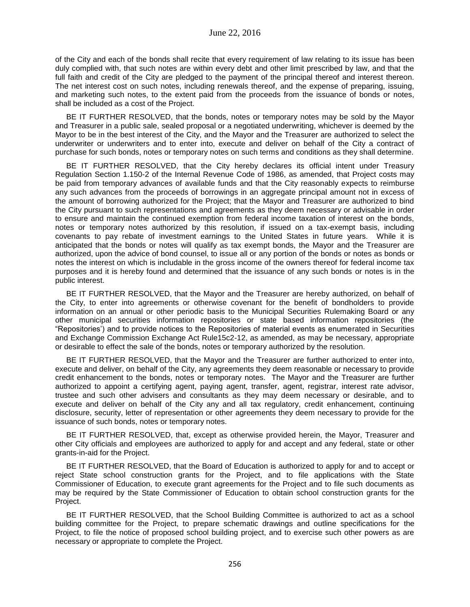of the City and each of the bonds shall recite that every requirement of law relating to its issue has been duly complied with, that such notes are within every debt and other limit prescribed by law, and that the full faith and credit of the City are pledged to the payment of the principal thereof and interest thereon. The net interest cost on such notes, including renewals thereof, and the expense of preparing, issuing, and marketing such notes, to the extent paid from the proceeds from the issuance of bonds or notes, shall be included as a cost of the Project.

BE IT FURTHER RESOLVED, that the bonds, notes or temporary notes may be sold by the Mayor and Treasurer in a public sale, sealed proposal or a negotiated underwriting, whichever is deemed by the Mayor to be in the best interest of the City, and the Mayor and the Treasurer are authorized to select the underwriter or underwriters and to enter into, execute and deliver on behalf of the City a contract of purchase for such bonds, notes or temporary notes on such terms and conditions as they shall determine.

BE IT FURTHER RESOLVED, that the City hereby declares its official intent under Treasury Regulation Section 1.150-2 of the Internal Revenue Code of 1986, as amended, that Project costs may be paid from temporary advances of available funds and that the City reasonably expects to reimburse any such advances from the proceeds of borrowings in an aggregate principal amount not in excess of the amount of borrowing authorized for the Project; that the Mayor and Treasurer are authorized to bind the City pursuant to such representations and agreements as they deem necessary or advisable in order to ensure and maintain the continued exemption from federal income taxation of interest on the bonds, notes or temporary notes authorized by this resolution, if issued on a tax-exempt basis, including covenants to pay rebate of investment earnings to the United States in future years. While it is anticipated that the bonds or notes will qualify as tax exempt bonds, the Mayor and the Treasurer are authorized, upon the advice of bond counsel, to issue all or any portion of the bonds or notes as bonds or notes the interest on which is includable in the gross income of the owners thereof for federal income tax purposes and it is hereby found and determined that the issuance of any such bonds or notes is in the public interest.

BE IT FURTHER RESOLVED, that the Mayor and the Treasurer are hereby authorized, on behalf of the City, to enter into agreements or otherwise covenant for the benefit of bondholders to provide information on an annual or other periodic basis to the Municipal Securities Rulemaking Board or any other municipal securities information repositories or state based information repositories (the "Repositories') and to provide notices to the Repositories of material events as enumerated in Securities and Exchange Commission Exchange Act Rule15c2-12, as amended, as may be necessary, appropriate or desirable to effect the sale of the bonds, notes or temporary authorized by the resolution.

BE IT FURTHER RESOLVED, that the Mayor and the Treasurer are further authorized to enter into, execute and deliver, on behalf of the City, any agreements they deem reasonable or necessary to provide credit enhancement to the bonds, notes or temporary notes. The Mayor and the Treasurer are further authorized to appoint a certifying agent, paying agent, transfer, agent, registrar, interest rate advisor, trustee and such other advisers and consultants as they may deem necessary or desirable, and to execute and deliver on behalf of the City any and all tax regulatory, credit enhancement, continuing disclosure, security, letter of representation or other agreements they deem necessary to provide for the issuance of such bonds, notes or temporary notes.

BE IT FURTHER RESOLVED, that, except as otherwise provided herein, the Mayor, Treasurer and other City officials and employees are authorized to apply for and accept and any federal, state or other grants-in-aid for the Project.

BE IT FURTHER RESOLVED, that the Board of Education is authorized to apply for and to accept or reject State school construction grants for the Project, and to file applications with the State Commissioner of Education, to execute grant agreements for the Project and to file such documents as may be required by the State Commissioner of Education to obtain school construction grants for the Project.

BE IT FURTHER RESOLVED, that the School Building Committee is authorized to act as a school building committee for the Project, to prepare schematic drawings and outline specifications for the Project, to file the notice of proposed school building project, and to exercise such other powers as are necessary or appropriate to complete the Project.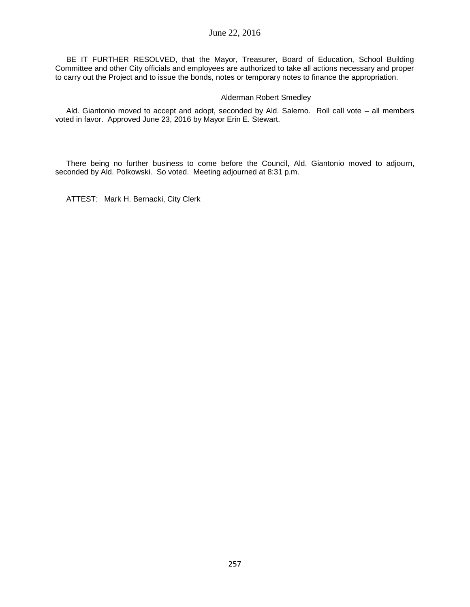BE IT FURTHER RESOLVED, that the Mayor, Treasurer, Board of Education, School Building Committee and other City officials and employees are authorized to take all actions necessary and proper to carry out the Project and to issue the bonds, notes or temporary notes to finance the appropriation.

### Alderman Robert Smedley

Ald. Giantonio moved to accept and adopt, seconded by Ald. Salerno. Roll call vote – all members voted in favor. Approved June 23, 2016 by Mayor Erin E. Stewart.

There being no further business to come before the Council, Ald. Giantonio moved to adjourn, seconded by Ald. Polkowski. So voted. Meeting adjourned at 8:31 p.m.

ATTEST: Mark H. Bernacki, City Clerk